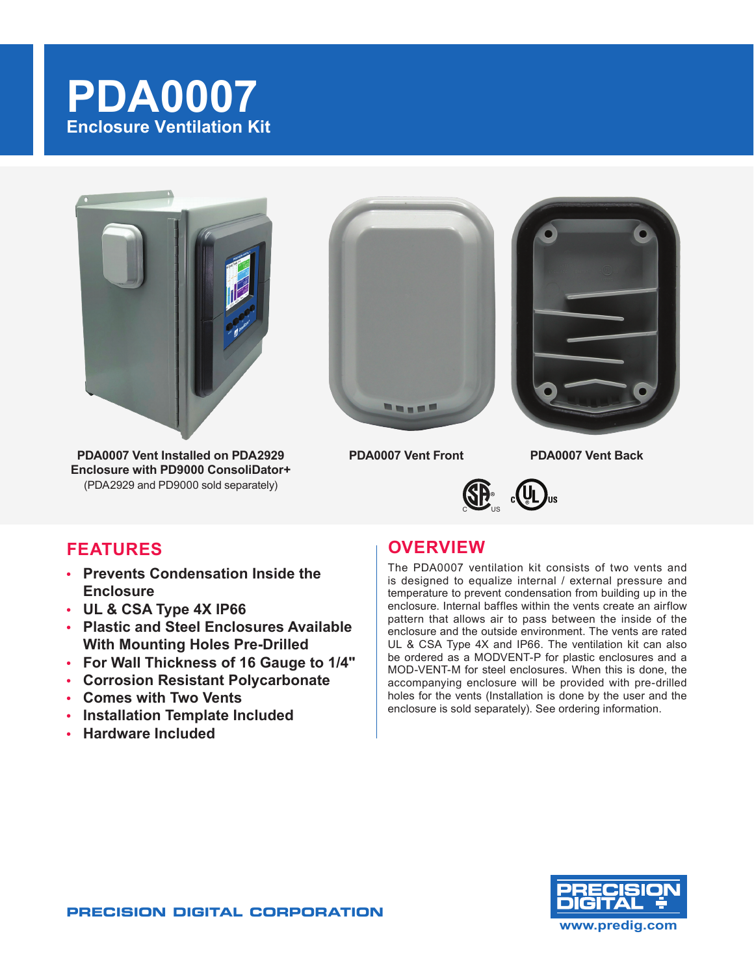# **PDA0007 Enclosure Ventilation Kit**



**PDA0007 Vent Installed on PDA2929 PDA0007 Vent Front PDA0007 Vent Back Enclosure with PD9000 ConsoliDator+** (PDA2929 and PD9000 sold separately)







## **FEATURES**

- **• Prevents Condensation Inside the Enclosure**
- **• UL & CSA Type 4X IP66**
- **• Plastic and Steel Enclosures Available With Mounting Holes Pre-Drilled**
- **• For Wall Thickness of 16 Gauge to 1/4"**
- **• Corrosion Resistant Polycarbonate**
- **• Comes with Two Vents**
- **• Installation Template Included**
- **• Hardware Included**

## **OVERVIEW**

The PDA0007 ventilation kit consists of two vents and is designed to equalize internal / external pressure and temperature to prevent condensation from building up in the enclosure. Internal baffles within the vents create an airflow pattern that allows air to pass between the inside of the enclosure and the outside environment. The vents are rated UL & CSA Type 4X and IP66. The ventilation kit can also be ordered as a MODVENT-P for plastic enclosures and a MOD-VENT-M for steel enclosures. When this is done, the accompanying enclosure will be provided with pre-drilled holes for the vents (Installation is done by the user and the enclosure is sold separately). See ordering information.